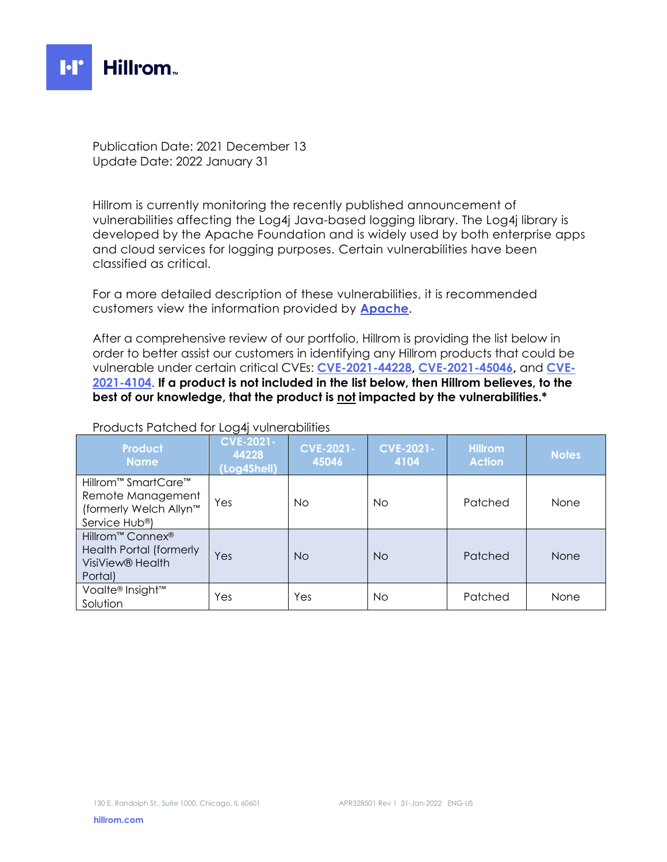

Publication Date: 2021 December 13 Update Date: 2022 January 31

Hillrom is currently monitoring the recently published announcement of vulnerabilities affecting the Log4j Java-based logging library. The Log4j library is developed by the Apache Foundation and is widely used by both enterprise apps and cloud services for logging purposes. Certain vulnerabilities have been classified as critical.

For a more detailed description of these vulnerabilities, it is recommended customers view the information provided by **[Apache](https://logging.apache.org/log4j/2.x/security.html)**.

After a comprehensive review of our portfolio, Hillrom is providing the list below in order to better assist our customers in identifying any Hillrom products that could be vulnerable under certain critical CVEs: **[CVE-2021-44228,](https://nvd.nist.gov/vuln/detail/CVE-2021-44228) [CVE-2021-45046,](https://nvd.nist.gov/vuln/detail/CVE-2021-45046)** and **[CVE-](https://nvd.nist.gov/vuln/detail/CVE-2021-4104)[2021-4104](https://nvd.nist.gov/vuln/detail/CVE-2021-4104)**. **If a product is not included in the list below, then Hillrom believes, to the best of our knowledge, that the product is not impacted by the vulnerabilities.\***

| Product<br><b>Name</b>                                                                                                   | <b>CVE-2021-</b><br>44228<br>(Log4Shell) | <b>CVE-2021-</b><br>45046 | <b>CVE-2021-</b><br>4104 | <b>Hillrom</b><br><b>Action</b> | <b>Notes</b> |
|--------------------------------------------------------------------------------------------------------------------------|------------------------------------------|---------------------------|--------------------------|---------------------------------|--------------|
| Hillrom <sup>™</sup> SmartCare <sup>™</sup><br>Remote Management<br>(formerly Welch Allyn™<br>Service Hub <sup>®</sup> ) | Yes                                      | No.                       | <b>No</b>                | Patched                         | None         |
| Hillrom™ Connex <sup>®</sup><br><b>Health Portal (formerly</b><br>VisiView <sup>®</sup> Health<br>Portal)                | Yes                                      | <b>No</b>                 | <b>No</b>                | Patched                         | None         |
| Voalte® Insight™<br>Solution                                                                                             | Yes                                      | Yes                       | No                       | Patched                         | None         |

## Products Patched for Log4j vulnerabilities